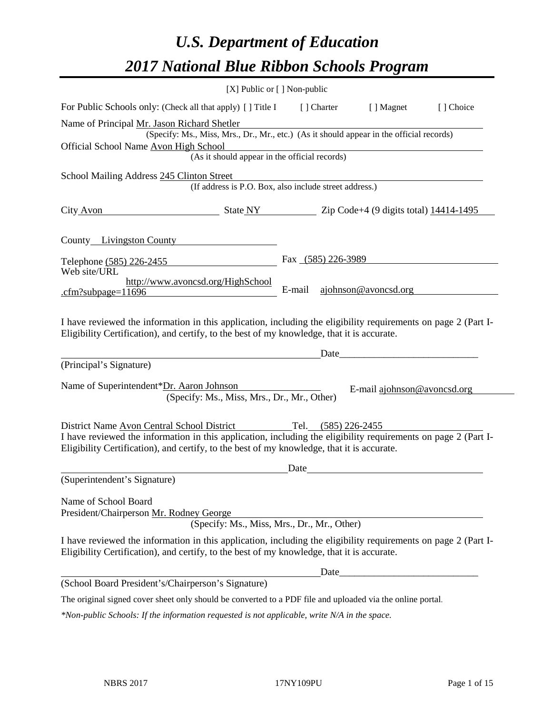# *U.S. Department of Education 2017 National Blue Ribbon Schools Program*

|                                                                                                                                                                                                              | [X] Public or $[$ ] Non-public                         |        |                    |                                                                                                                       |           |
|--------------------------------------------------------------------------------------------------------------------------------------------------------------------------------------------------------------|--------------------------------------------------------|--------|--------------------|-----------------------------------------------------------------------------------------------------------------------|-----------|
| For Public Schools only: (Check all that apply) [] Title I                                                                                                                                                   |                                                        |        | [ ] Charter        | [ ] Magnet                                                                                                            | [] Choice |
| Name of Principal Mr. Jason Richard Shetler<br>Official School Name Avon High School                                                                                                                         | (As it should appear in the official records)          |        |                    | (Specify: Ms., Miss, Mrs., Dr., Mr., etc.) (As it should appear in the official records)                              |           |
| School Mailing Address 245 Clinton Street                                                                                                                                                                    |                                                        |        |                    |                                                                                                                       |           |
|                                                                                                                                                                                                              | (If address is P.O. Box, also include street address.) |        |                    |                                                                                                                       |           |
| City Avon State NY Zip Code+4 (9 digits total) 14414-1495                                                                                                                                                    |                                                        |        |                    |                                                                                                                       |           |
| County Livingston County                                                                                                                                                                                     |                                                        |        |                    |                                                                                                                       |           |
| Telephone (585) 226-2455<br>Web site/URL                                                                                                                                                                     |                                                        |        | Fax (585) 226-3989 |                                                                                                                       |           |
| http://www.avoncsd.org/HighSchool<br>.cfm?subpage= $11696$                                                                                                                                                   |                                                        | E-mail |                    | ajohnson@avoncsd.org                                                                                                  |           |
| I have reviewed the information in this application, including the eligibility requirements on page 2 (Part I-<br>Eligibility Certification), and certify, to the best of my knowledge, that it is accurate. |                                                        |        | Date_              |                                                                                                                       |           |
| (Principal's Signature)                                                                                                                                                                                      |                                                        |        |                    |                                                                                                                       |           |
| Name of Superintendent*Dr. Aaron Johnson                                                                                                                                                                     | (Specify: Ms., Miss, Mrs., Dr., Mr., Other)            |        |                    | E-mail ajohnson@avoncsd.org                                                                                           |           |
| District Name Avon Central School District                                                                                                                                                                   |                                                        | Tel.   | $(585)$ 226-2455   |                                                                                                                       |           |
| I have reviewed the information in this application, including the eligibility requirements on page 2 (Part I-<br>Eligibility Certification), and certify, to the best of my knowledge, that it is accurate. |                                                        |        |                    |                                                                                                                       |           |
|                                                                                                                                                                                                              |                                                        | Date   |                    |                                                                                                                       |           |
| (Superintendent's Signature)                                                                                                                                                                                 |                                                        |        |                    |                                                                                                                       |           |
| Name of School Board<br>President/Chairperson Mr. Rodney George                                                                                                                                              | (Specify: Ms., Miss, Mrs., Dr., Mr., Other)            |        |                    |                                                                                                                       |           |
| I have reviewed the information in this application, including the eligibility requirements on page 2 (Part I-<br>Eligibility Certification), and certify, to the best of my knowledge, that it is accurate. |                                                        |        |                    |                                                                                                                       |           |
|                                                                                                                                                                                                              |                                                        |        | Date_              | <u> 1989 - Johann Barn, mars ann an t-Amhain an t-Amhain an t-Amhain an t-Amhain an t-Amhain an t-Amhain an t-Amh</u> |           |
| (School Board President's/Chairperson's Signature)                                                                                                                                                           |                                                        |        |                    |                                                                                                                       |           |
| The original signed cover sheet only should be converted to a PDF file and uploaded via the online portal.                                                                                                   |                                                        |        |                    |                                                                                                                       |           |

*\*Non-public Schools: If the information requested is not applicable, write N/A in the space.*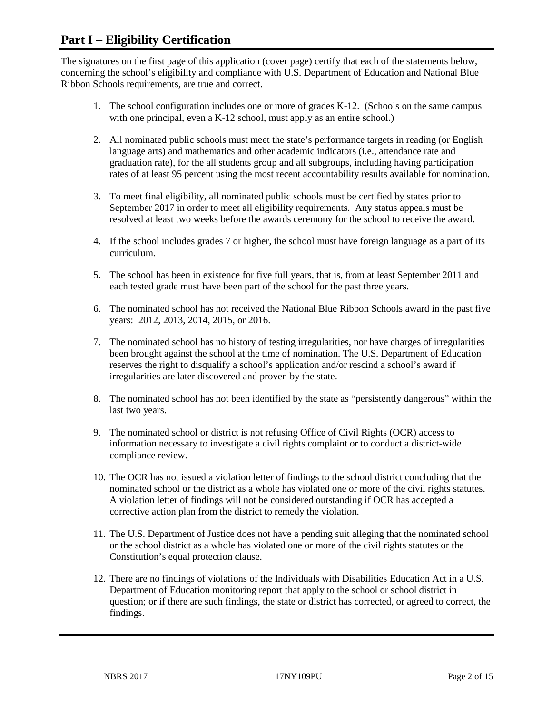# **Part I – Eligibility Certification**

The signatures on the first page of this application (cover page) certify that each of the statements below, concerning the school's eligibility and compliance with U.S. Department of Education and National Blue Ribbon Schools requirements, are true and correct.

- 1. The school configuration includes one or more of grades K-12. (Schools on the same campus with one principal, even a K-12 school, must apply as an entire school.)
- 2. All nominated public schools must meet the state's performance targets in reading (or English language arts) and mathematics and other academic indicators (i.e., attendance rate and graduation rate), for the all students group and all subgroups, including having participation rates of at least 95 percent using the most recent accountability results available for nomination.
- 3. To meet final eligibility, all nominated public schools must be certified by states prior to September 2017 in order to meet all eligibility requirements. Any status appeals must be resolved at least two weeks before the awards ceremony for the school to receive the award.
- 4. If the school includes grades 7 or higher, the school must have foreign language as a part of its curriculum.
- 5. The school has been in existence for five full years, that is, from at least September 2011 and each tested grade must have been part of the school for the past three years.
- 6. The nominated school has not received the National Blue Ribbon Schools award in the past five years: 2012, 2013, 2014, 2015, or 2016.
- 7. The nominated school has no history of testing irregularities, nor have charges of irregularities been brought against the school at the time of nomination. The U.S. Department of Education reserves the right to disqualify a school's application and/or rescind a school's award if irregularities are later discovered and proven by the state.
- 8. The nominated school has not been identified by the state as "persistently dangerous" within the last two years.
- 9. The nominated school or district is not refusing Office of Civil Rights (OCR) access to information necessary to investigate a civil rights complaint or to conduct a district-wide compliance review.
- 10. The OCR has not issued a violation letter of findings to the school district concluding that the nominated school or the district as a whole has violated one or more of the civil rights statutes. A violation letter of findings will not be considered outstanding if OCR has accepted a corrective action plan from the district to remedy the violation.
- 11. The U.S. Department of Justice does not have a pending suit alleging that the nominated school or the school district as a whole has violated one or more of the civil rights statutes or the Constitution's equal protection clause.
- 12. There are no findings of violations of the Individuals with Disabilities Education Act in a U.S. Department of Education monitoring report that apply to the school or school district in question; or if there are such findings, the state or district has corrected, or agreed to correct, the findings.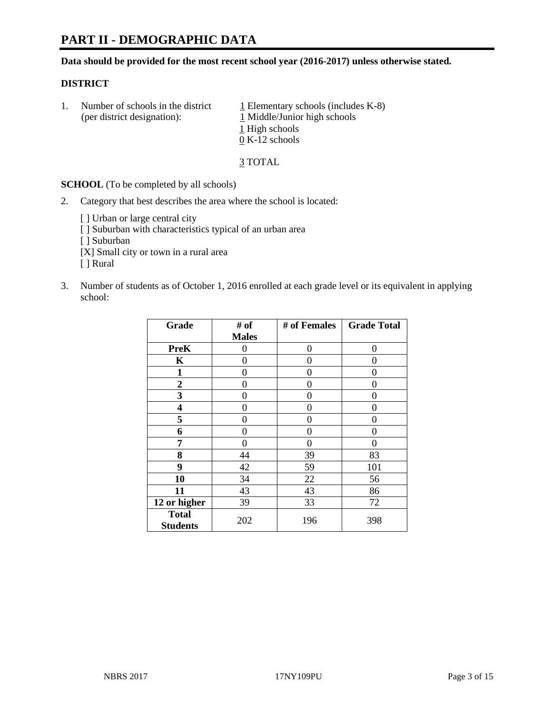# **PART II - DEMOGRAPHIC DATA**

**Data should be provided for the most recent school year (2016-2017) unless otherwise stated.** 

#### **DISTRICT**

1. Number of schools in the district  $1$  Elementary schools (includes K-8) (per district designation): 1 Middle/Junior high schools 1 High schools 0 K-12 schools

3 TOTAL

**SCHOOL** (To be completed by all schools)

2. Category that best describes the area where the school is located:

[] Urban or large central city [ ] Suburban with characteristics typical of an urban area [ ] Suburban [X] Small city or town in a rural area [ ] Rural

3. Number of students as of October 1, 2016 enrolled at each grade level or its equivalent in applying school:

| Grade                           | # of         | # of Females | <b>Grade Total</b> |
|---------------------------------|--------------|--------------|--------------------|
|                                 | <b>Males</b> |              |                    |
| <b>PreK</b>                     | 0            | 0            | 0                  |
| K                               | 0            | 0            | 0                  |
| $\mathbf{1}$                    | 0            | 0            | 0                  |
| $\boldsymbol{2}$                | 0            | 0            | 0                  |
| 3                               | 0            | 0            | 0                  |
| 4                               | 0            | 0            | 0                  |
| 5                               | 0            | 0            | 0                  |
| 6                               | 0            | 0            | 0                  |
| 7                               | 0            | 0            | 0                  |
| 8                               | 44           | 39           | 83                 |
| 9                               | 42           | 59           | 101                |
| 10                              | 34           | 22           | 56                 |
| 11                              | 43           | 43           | 86                 |
| 12 or higher                    | 39           | 33           | 72                 |
| <b>Total</b><br><b>Students</b> | 202          | 196          | 398                |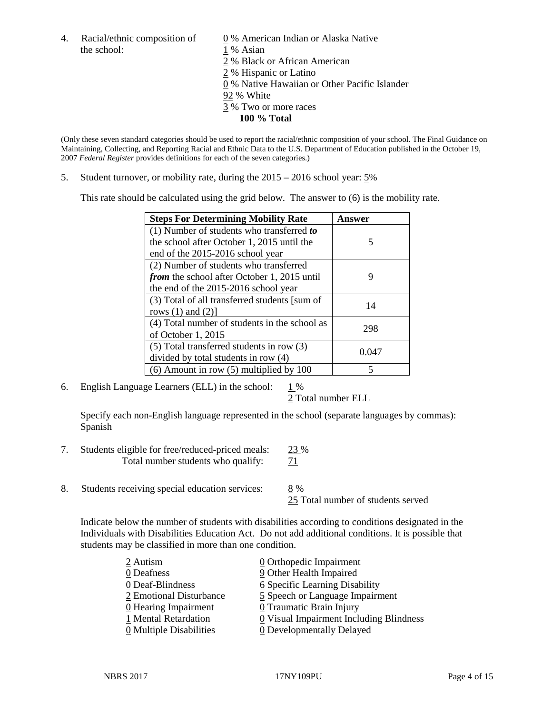4. Racial/ethnic composition of  $\qquad \qquad \underline{0}$  % American Indian or Alaska Native the school: 1 % Asian

 % Black or African American % Hispanic or Latino % Native Hawaiian or Other Pacific Islander 92 % White % Two or more races **100 % Total**

(Only these seven standard categories should be used to report the racial/ethnic composition of your school. The Final Guidance on Maintaining, Collecting, and Reporting Racial and Ethnic Data to the U.S. Department of Education published in the October 19, 2007 *Federal Register* provides definitions for each of the seven categories.)

5. Student turnover, or mobility rate, during the 2015 – 2016 school year: 5%

This rate should be calculated using the grid below. The answer to (6) is the mobility rate.

| <b>Steps For Determining Mobility Rate</b>    | Answer |  |
|-----------------------------------------------|--------|--|
| (1) Number of students who transferred to     |        |  |
| the school after October 1, 2015 until the    | 5      |  |
| end of the 2015-2016 school year              |        |  |
| (2) Number of students who transferred        |        |  |
| from the school after October 1, 2015 until   | 9      |  |
| the end of the 2015-2016 school year          |        |  |
| (3) Total of all transferred students [sum of | 14     |  |
| rows $(1)$ and $(2)$ ]                        |        |  |
| (4) Total number of students in the school as | 298    |  |
| of October 1, 2015                            |        |  |
| $(5)$ Total transferred students in row $(3)$ |        |  |
| divided by total students in row (4)          | 0.047  |  |
| $(6)$ Amount in row $(5)$ multiplied by 100   | 5      |  |

6. English Language Learners (ELL) in the school:  $1\%$ 

2 Total number ELL

Specify each non-English language represented in the school (separate languages by commas): **Spanish** 

- 7. Students eligible for free/reduced-priced meals: 23 % Total number students who qualify:  $71$
- 8. Students receiving special education services: 8 %

25 Total number of students served

Indicate below the number of students with disabilities according to conditions designated in the Individuals with Disabilities Education Act. Do not add additional conditions. It is possible that students may be classified in more than one condition.

| 2 Autism                              | $\underline{0}$ Orthopedic Impairment   |
|---------------------------------------|-----------------------------------------|
| 0 Deafness                            | 9 Other Health Impaired                 |
| 0 Deaf-Blindness                      | 6 Specific Learning Disability          |
| 2 Emotional Disturbance               | 5 Speech or Language Impairment         |
| 0 Hearing Impairment                  | 0 Traumatic Brain Injury                |
| 1 Mental Retardation                  | 0 Visual Impairment Including Blindness |
| $\underline{0}$ Multiple Disabilities | <b>0</b> Developmentally Delayed        |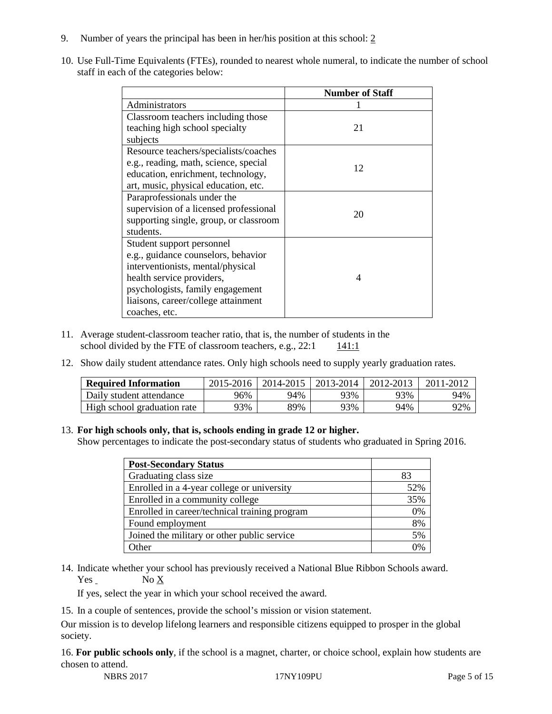- 9. Number of years the principal has been in her/his position at this school: 2
- 10. Use Full-Time Equivalents (FTEs), rounded to nearest whole numeral, to indicate the number of school staff in each of the categories below:

|                                        | <b>Number of Staff</b>   |
|----------------------------------------|--------------------------|
| Administrators                         |                          |
| Classroom teachers including those     |                          |
| teaching high school specialty         | 21                       |
| subjects                               |                          |
| Resource teachers/specialists/coaches  |                          |
| e.g., reading, math, science, special  | 12                       |
| education, enrichment, technology,     |                          |
| art, music, physical education, etc.   |                          |
| Paraprofessionals under the            |                          |
| supervision of a licensed professional | 20                       |
| supporting single, group, or classroom |                          |
| students.                              |                          |
| Student support personnel              |                          |
| e.g., guidance counselors, behavior    |                          |
| interventionists, mental/physical      |                          |
| health service providers,              | $\boldsymbol{\varDelta}$ |
| psychologists, family engagement       |                          |
| liaisons, career/college attainment    |                          |
| coaches, etc.                          |                          |

- 11. Average student-classroom teacher ratio, that is, the number of students in the school divided by the FTE of classroom teachers, e.g.,  $22:1$  141:1
- 12. Show daily student attendance rates. Only high schools need to supply yearly graduation rates.

| <b>Required Information</b> | 2015-2016 | 2014-2015 | 2013-2014 | 2012-2013 |     |
|-----------------------------|-----------|-----------|-----------|-----------|-----|
| Daily student attendance    | 96%       | 94%       | 93%       | 93%       | 94% |
| High school graduation rate | <b>3%</b> | 89%       | 93%       | 94%       | 92% |

#### 13. **For high schools only, that is, schools ending in grade 12 or higher.**

Show percentages to indicate the post-secondary status of students who graduated in Spring 2016.

| <b>Post-Secondary Status</b>                  |                |
|-----------------------------------------------|----------------|
| Graduating class size                         | 83             |
| Enrolled in a 4-year college or university    | 52%            |
| Enrolled in a community college               | 35%            |
| Enrolled in career/technical training program | 0%             |
| Found employment                              | 8%             |
| Joined the military or other public service   | 5%             |
| )ther                                         | $\gamma_{0/2}$ |

14. Indicate whether your school has previously received a National Blue Ribbon Schools award.  $Yes$  No  $X$ 

If yes, select the year in which your school received the award.

15. In a couple of sentences, provide the school's mission or vision statement.

Our mission is to develop lifelong learners and responsible citizens equipped to prosper in the global society.

16. **For public schools only**, if the school is a magnet, charter, or choice school, explain how students are chosen to attend.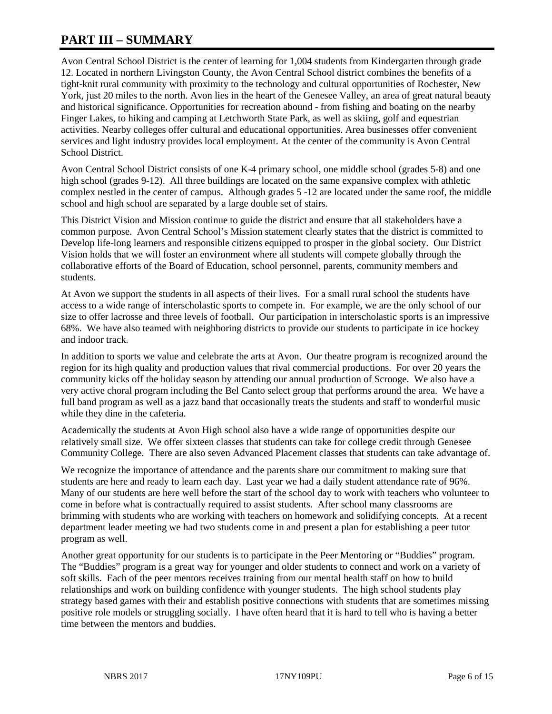# **PART III – SUMMARY**

Avon Central School District is the center of learning for 1,004 students from Kindergarten through grade 12. Located in northern Livingston County, the Avon Central School district combines the benefits of a tight-knit rural community with proximity to the technology and cultural opportunities of Rochester, New York, just 20 miles to the north. Avon lies in the heart of the Genesee Valley, an area of great natural beauty and historical significance. Opportunities for recreation abound - from fishing and boating on the nearby Finger Lakes, to hiking and camping at Letchworth State Park, as well as skiing, golf and equestrian activities. Nearby colleges offer cultural and educational opportunities. Area businesses offer convenient services and light industry provides local employment. At the center of the community is Avon Central School District.

Avon Central School District consists of one K-4 primary school, one middle school (grades 5-8) and one high school (grades 9-12). All three buildings are located on the same expansive complex with athletic complex nestled in the center of campus. Although grades 5 -12 are located under the same roof, the middle school and high school are separated by a large double set of stairs.

This District Vision and Mission continue to guide the district and ensure that all stakeholders have a common purpose. Avon Central School's Mission statement clearly states that the district is committed to Develop life-long learners and responsible citizens equipped to prosper in the global society. Our District Vision holds that we will foster an environment where all students will compete globally through the collaborative efforts of the Board of Education, school personnel, parents, community members and students.

At Avon we support the students in all aspects of their lives. For a small rural school the students have access to a wide range of interscholastic sports to compete in. For example, we are the only school of our size to offer lacrosse and three levels of football. Our participation in interscholastic sports is an impressive 68%. We have also teamed with neighboring districts to provide our students to participate in ice hockey and indoor track.

In addition to sports we value and celebrate the arts at Avon. Our theatre program is recognized around the region for its high quality and production values that rival commercial productions. For over 20 years the community kicks off the holiday season by attending our annual production of Scrooge. We also have a very active choral program including the Bel Canto select group that performs around the area. We have a full band program as well as a jazz band that occasionally treats the students and staff to wonderful music while they dine in the cafeteria.

Academically the students at Avon High school also have a wide range of opportunities despite our relatively small size. We offer sixteen classes that students can take for college credit through Genesee Community College. There are also seven Advanced Placement classes that students can take advantage of.

We recognize the importance of attendance and the parents share our commitment to making sure that students are here and ready to learn each day. Last year we had a daily student attendance rate of 96%. Many of our students are here well before the start of the school day to work with teachers who volunteer to come in before what is contractually required to assist students. After school many classrooms are brimming with students who are working with teachers on homework and solidifying concepts. At a recent department leader meeting we had two students come in and present a plan for establishing a peer tutor program as well.

Another great opportunity for our students is to participate in the Peer Mentoring or "Buddies" program. The "Buddies" program is a great way for younger and older students to connect and work on a variety of soft skills. Each of the peer mentors receives training from our mental health staff on how to build relationships and work on building confidence with younger students. The high school students play strategy based games with their and establish positive connections with students that are sometimes missing positive role models or struggling socially. I have often heard that it is hard to tell who is having a better time between the mentors and buddies.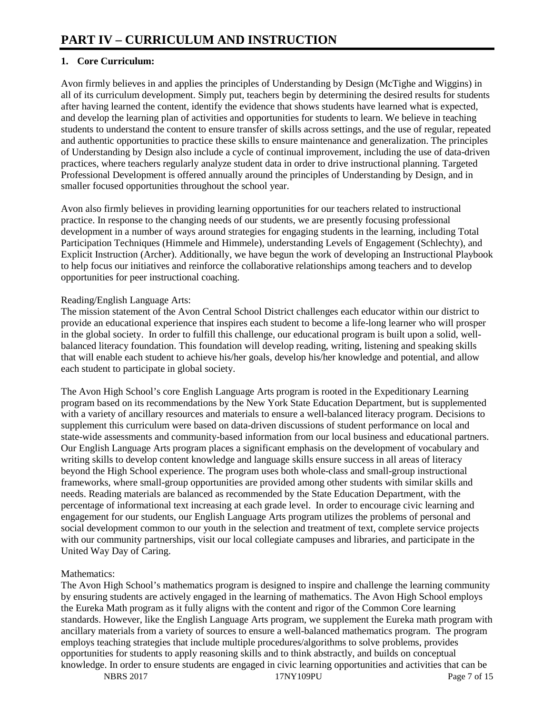# **1. Core Curriculum:**

Avon firmly believes in and applies the principles of Understanding by Design (McTighe and Wiggins) in all of its curriculum development. Simply put, teachers begin by determining the desired results for students after having learned the content, identify the evidence that shows students have learned what is expected, and develop the learning plan of activities and opportunities for students to learn. We believe in teaching students to understand the content to ensure transfer of skills across settings, and the use of regular, repeated and authentic opportunities to practice these skills to ensure maintenance and generalization. The principles of Understanding by Design also include a cycle of continual improvement, including the use of data-driven practices, where teachers regularly analyze student data in order to drive instructional planning. Targeted Professional Development is offered annually around the principles of Understanding by Design, and in smaller focused opportunities throughout the school year.

Avon also firmly believes in providing learning opportunities for our teachers related to instructional practice. In response to the changing needs of our students, we are presently focusing professional development in a number of ways around strategies for engaging students in the learning, including Total Participation Techniques (Himmele and Himmele), understanding Levels of Engagement (Schlechty), and Explicit Instruction (Archer). Additionally, we have begun the work of developing an Instructional Playbook to help focus our initiatives and reinforce the collaborative relationships among teachers and to develop opportunities for peer instructional coaching.

## Reading/English Language Arts:

The mission statement of the Avon Central School District challenges each educator within our district to provide an educational experience that inspires each student to become a life-long learner who will prosper in the global society. In order to fulfill this challenge, our educational program is built upon a solid, wellbalanced literacy foundation. This foundation will develop reading, writing, listening and speaking skills that will enable each student to achieve his/her goals, develop his/her knowledge and potential, and allow each student to participate in global society.

The Avon High School's core English Language Arts program is rooted in the Expeditionary Learning program based on its recommendations by the New York State Education Department, but is supplemented with a variety of ancillary resources and materials to ensure a well-balanced literacy program. Decisions to supplement this curriculum were based on data-driven discussions of student performance on local and state-wide assessments and community-based information from our local business and educational partners. Our English Language Arts program places a significant emphasis on the development of vocabulary and writing skills to develop content knowledge and language skills ensure success in all areas of literacy beyond the High School experience. The program uses both whole-class and small-group instructional frameworks, where small-group opportunities are provided among other students with similar skills and needs. Reading materials are balanced as recommended by the State Education Department, with the percentage of informational text increasing at each grade level. In order to encourage civic learning and engagement for our students, our English Language Arts program utilizes the problems of personal and social development common to our youth in the selection and treatment of text, complete service projects with our community partnerships, visit our local collegiate campuses and libraries, and participate in the United Way Day of Caring.

# Mathematics:

The Avon High School's mathematics program is designed to inspire and challenge the learning community by ensuring students are actively engaged in the learning of mathematics. The Avon High School employs the Eureka Math program as it fully aligns with the content and rigor of the Common Core learning standards. However, like the English Language Arts program, we supplement the Eureka math program with ancillary materials from a variety of sources to ensure a well-balanced mathematics program. The program employs teaching strategies that include multiple procedures/algorithms to solve problems, provides opportunities for students to apply reasoning skills and to think abstractly, and builds on conceptual knowledge. In order to ensure students are engaged in civic learning opportunities and activities that can be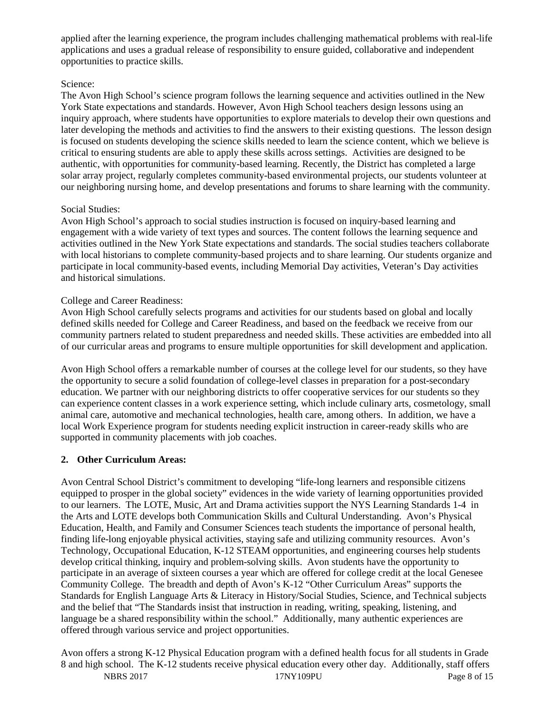applied after the learning experience, the program includes challenging mathematical problems with real-life applications and uses a gradual release of responsibility to ensure guided, collaborative and independent opportunities to practice skills.

#### Science:

The Avon High School's science program follows the learning sequence and activities outlined in the New York State expectations and standards. However, Avon High School teachers design lessons using an inquiry approach, where students have opportunities to explore materials to develop their own questions and later developing the methods and activities to find the answers to their existing questions. The lesson design is focused on students developing the science skills needed to learn the science content, which we believe is critical to ensuring students are able to apply these skills across settings. Activities are designed to be authentic, with opportunities for community-based learning. Recently, the District has completed a large solar array project, regularly completes community-based environmental projects, our students volunteer at our neighboring nursing home, and develop presentations and forums to share learning with the community.

#### Social Studies:

Avon High School's approach to social studies instruction is focused on inquiry-based learning and engagement with a wide variety of text types and sources. The content follows the learning sequence and activities outlined in the New York State expectations and standards. The social studies teachers collaborate with local historians to complete community-based projects and to share learning. Our students organize and participate in local community-based events, including Memorial Day activities, Veteran's Day activities and historical simulations.

#### College and Career Readiness:

Avon High School carefully selects programs and activities for our students based on global and locally defined skills needed for College and Career Readiness, and based on the feedback we receive from our community partners related to student preparedness and needed skills. These activities are embedded into all of our curricular areas and programs to ensure multiple opportunities for skill development and application.

Avon High School offers a remarkable number of courses at the college level for our students, so they have the opportunity to secure a solid foundation of college-level classes in preparation for a post-secondary education. We partner with our neighboring districts to offer cooperative services for our students so they can experience content classes in a work experience setting, which include culinary arts, cosmetology, small animal care, automotive and mechanical technologies, health care, among others. In addition, we have a local Work Experience program for students needing explicit instruction in career-ready skills who are supported in community placements with job coaches.

## **2. Other Curriculum Areas:**

Avon Central School District's commitment to developing "life-long learners and responsible citizens equipped to prosper in the global society" evidences in the wide variety of learning opportunities provided to our learners. The LOTE, Music, Art and Drama activities support the NYS Learning Standards 1-4 in the Arts and LOTE develops both Communication Skills and Cultural Understanding. Avon's Physical Education, Health, and Family and Consumer Sciences teach students the importance of personal health, finding life-long enjoyable physical activities, staying safe and utilizing community resources. Avon's Technology, Occupational Education, K-12 STEAM opportunities, and engineering courses help students develop critical thinking, inquiry and problem-solving skills. Avon students have the opportunity to participate in an average of sixteen courses a year which are offered for college credit at the local Genesee Community College. The breadth and depth of Avon's K-12 "Other Curriculum Areas" supports the Standards for English Language Arts & Literacy in History/Social Studies, Science, and Technical subjects and the belief that "The Standards insist that instruction in reading, writing, speaking, listening, and language be a shared responsibility within the school." Additionally, many authentic experiences are offered through various service and project opportunities.

NBRS 2017 17NY109PU Page 8 of 15 Avon offers a strong K-12 Physical Education program with a defined health focus for all students in Grade 8 and high school. The K-12 students receive physical education every other day. Additionally, staff offers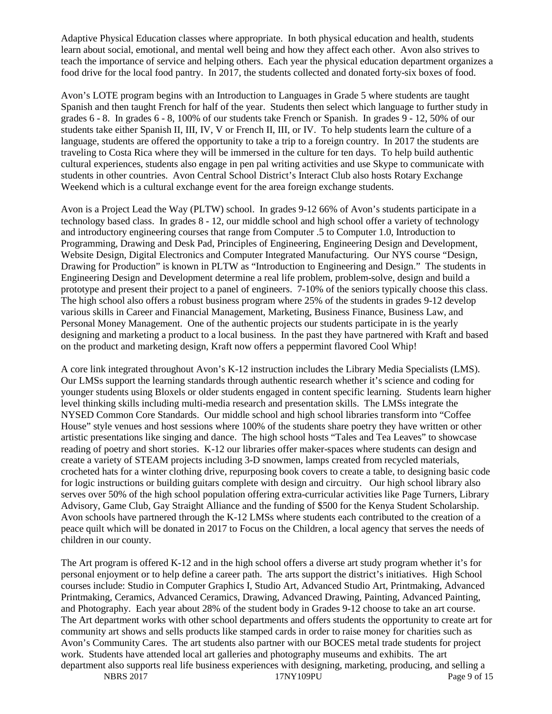Adaptive Physical Education classes where appropriate. In both physical education and health, students learn about social, emotional, and mental well being and how they affect each other. Avon also strives to teach the importance of service and helping others. Each year the physical education department organizes a food drive for the local food pantry. In 2017, the students collected and donated forty-six boxes of food.

Avon's LOTE program begins with an Introduction to Languages in Grade 5 where students are taught Spanish and then taught French for half of the year. Students then select which language to further study in grades 6 - 8. In grades 6 - 8, 100% of our students take French or Spanish. In grades 9 - 12, 50% of our students take either Spanish II, III, IV, V or French II, III, or IV. To help students learn the culture of a language, students are offered the opportunity to take a trip to a foreign country. In 2017 the students are traveling to Costa Rica where they will be immersed in the culture for ten days. To help build authentic cultural experiences, students also engage in pen pal writing activities and use Skype to communicate with students in other countries. Avon Central School District's Interact Club also hosts Rotary Exchange Weekend which is a cultural exchange event for the area foreign exchange students.

Avon is a Project Lead the Way (PLTW) school. In grades 9-12 66% of Avon's students participate in a technology based class. In grades 8 - 12, our middle school and high school offer a variety of technology and introductory engineering courses that range from Computer .5 to Computer 1.0, Introduction to Programming, Drawing and Desk Pad, Principles of Engineering, Engineering Design and Development, Website Design, Digital Electronics and Computer Integrated Manufacturing. Our NYS course "Design, Drawing for Production" is known in PLTW as "Introduction to Engineering and Design." The students in Engineering Design and Development determine a real life problem, problem-solve, design and build a prototype and present their project to a panel of engineers. 7-10% of the seniors typically choose this class. The high school also offers a robust business program where 25% of the students in grades 9-12 develop various skills in Career and Financial Management, Marketing, Business Finance, Business Law, and Personal Money Management. One of the authentic projects our students participate in is the yearly designing and marketing a product to a local business. In the past they have partnered with Kraft and based on the product and marketing design, Kraft now offers a peppermint flavored Cool Whip!

A core link integrated throughout Avon's K-12 instruction includes the Library Media Specialists (LMS). Our LMSs support the learning standards through authentic research whether it's science and coding for younger students using Bloxels or older students engaged in content specific learning. Students learn higher level thinking skills including multi-media research and presentation skills. The LMSs integrate the NYSED Common Core Standards. Our middle school and high school libraries transform into "Coffee House" style venues and host sessions where 100% of the students share poetry they have written or other artistic presentations like singing and dance. The high school hosts "Tales and Tea Leaves" to showcase reading of poetry and short stories. K-12 our libraries offer maker-spaces where students can design and create a variety of STEAM projects including 3-D snowmen, lamps created from recycled materials, crocheted hats for a winter clothing drive, repurposing book covers to create a table, to designing basic code for logic instructions or building guitars complete with design and circuitry. Our high school library also serves over 50% of the high school population offering extra-curricular activities like Page Turners, Library Advisory, Game Club, Gay Straight Alliance and the funding of \$500 for the Kenya Student Scholarship. Avon schools have partnered through the K-12 LMSs where students each contributed to the creation of a peace quilt which will be donated in 2017 to Focus on the Children, a local agency that serves the needs of children in our county.

NBRS 2017 **17NY109PU** Page 9 of 15 The Art program is offered K-12 and in the high school offers a diverse art study program whether it's for personal enjoyment or to help define a career path. The arts support the district's initiatives. High School courses include: Studio in Computer Graphics I, Studio Art, Advanced Studio Art, Printmaking, Advanced Printmaking, Ceramics, Advanced Ceramics, Drawing, Advanced Drawing, Painting, Advanced Painting, and Photography. Each year about 28% of the student body in Grades 9-12 choose to take an art course. The Art department works with other school departments and offers students the opportunity to create art for community art shows and sells products like stamped cards in order to raise money for charities such as Avon's Community Cares. The art students also partner with our BOCES metal trade students for project work. Students have attended local art galleries and photography museums and exhibits. The art department also supports real life business experiences with designing, marketing, producing, and selling a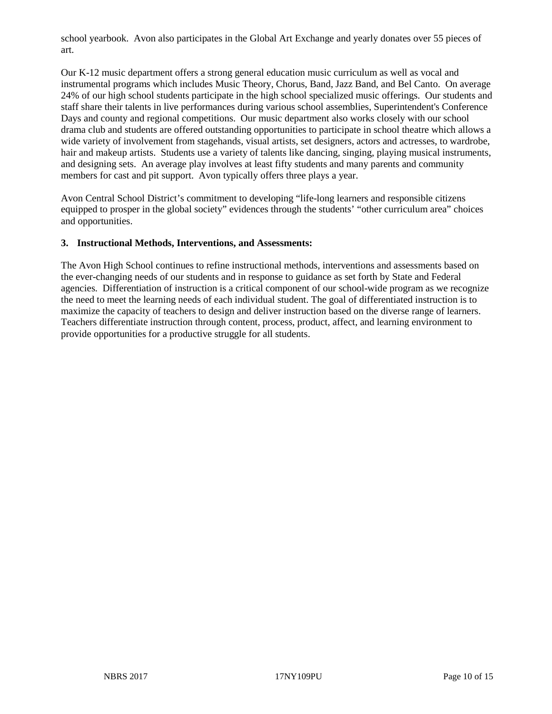school yearbook. Avon also participates in the Global Art Exchange and yearly donates over 55 pieces of art.

Our K-12 music department offers a strong general education music curriculum as well as vocal and instrumental programs which includes Music Theory, Chorus, Band, Jazz Band, and Bel Canto. On average 24% of our high school students participate in the high school specialized music offerings. Our students and staff share their talents in live performances during various school assemblies, Superintendent's Conference Days and county and regional competitions. Our music department also works closely with our school drama club and students are offered outstanding opportunities to participate in school theatre which allows a wide variety of involvement from stagehands, visual artists, set designers, actors and actresses, to wardrobe, hair and makeup artists. Students use a variety of talents like dancing, singing, playing musical instruments, and designing sets. An average play involves at least fifty students and many parents and community members for cast and pit support. Avon typically offers three plays a year.

Avon Central School District's commitment to developing "life-long learners and responsible citizens equipped to prosper in the global society" evidences through the students' "other curriculum area" choices and opportunities.

#### **3. Instructional Methods, Interventions, and Assessments:**

The Avon High School continues to refine instructional methods, interventions and assessments based on the ever-changing needs of our students and in response to guidance as set forth by State and Federal agencies. Differentiation of instruction is a critical component of our school-wide program as we recognize the need to meet the learning needs of each individual student. The goal of differentiated instruction is to maximize the capacity of teachers to design and deliver instruction based on the diverse range of learners. Teachers differentiate instruction through content, process, product, affect, and learning environment to provide opportunities for a productive struggle for all students.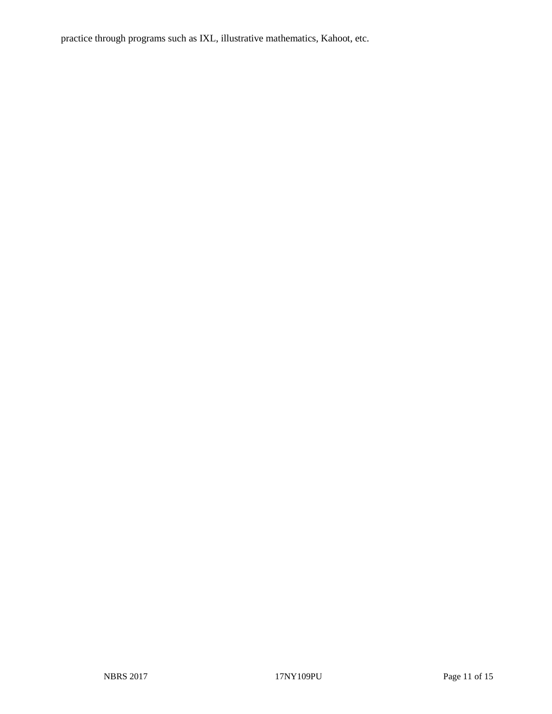practice through programs such as IXL, illustrative mathematics, Kahoot, etc.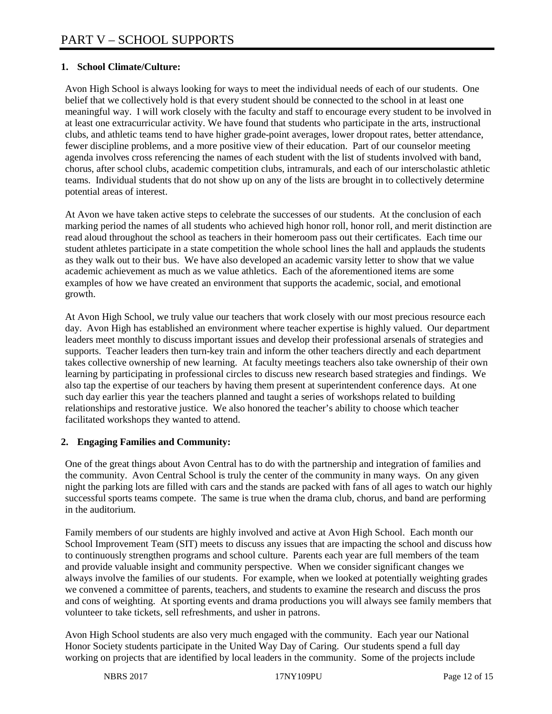## **1. School Climate/Culture:**

Avon High School is always looking for ways to meet the individual needs of each of our students. One belief that we collectively hold is that every student should be connected to the school in at least one meaningful way. I will work closely with the faculty and staff to encourage every student to be involved in at least one extracurricular activity. We have found that students who participate in the arts, instructional clubs, and athletic teams tend to have higher grade-point averages, lower dropout rates, better attendance, fewer discipline problems, and a more positive view of their education. Part of our counselor meeting agenda involves cross referencing the names of each student with the list of students involved with band, chorus, after school clubs, academic competition clubs, intramurals, and each of our interscholastic athletic teams. Individual students that do not show up on any of the lists are brought in to collectively determine potential areas of interest.

At Avon we have taken active steps to celebrate the successes of our students. At the conclusion of each marking period the names of all students who achieved high honor roll, honor roll, and merit distinction are read aloud throughout the school as teachers in their homeroom pass out their certificates. Each time our student athletes participate in a state competition the whole school lines the hall and applauds the students as they walk out to their bus. We have also developed an academic varsity letter to show that we value academic achievement as much as we value athletics. Each of the aforementioned items are some examples of how we have created an environment that supports the academic, social, and emotional growth.

At Avon High School, we truly value our teachers that work closely with our most precious resource each day. Avon High has established an environment where teacher expertise is highly valued. Our department leaders meet monthly to discuss important issues and develop their professional arsenals of strategies and supports. Teacher leaders then turn-key train and inform the other teachers directly and each department takes collective ownership of new learning. At faculty meetings teachers also take ownership of their own learning by participating in professional circles to discuss new research based strategies and findings. We also tap the expertise of our teachers by having them present at superintendent conference days. At one such day earlier this year the teachers planned and taught a series of workshops related to building relationships and restorative justice. We also honored the teacher's ability to choose which teacher facilitated workshops they wanted to attend.

## **2. Engaging Families and Community:**

One of the great things about Avon Central has to do with the partnership and integration of families and the community. Avon Central School is truly the center of the community in many ways. On any given night the parking lots are filled with cars and the stands are packed with fans of all ages to watch our highly successful sports teams compete. The same is true when the drama club, chorus, and band are performing in the auditorium.

Family members of our students are highly involved and active at Avon High School. Each month our School Improvement Team (SIT) meets to discuss any issues that are impacting the school and discuss how to continuously strengthen programs and school culture. Parents each year are full members of the team and provide valuable insight and community perspective. When we consider significant changes we always involve the families of our students. For example, when we looked at potentially weighting grades we convened a committee of parents, teachers, and students to examine the research and discuss the pros and cons of weighting. At sporting events and drama productions you will always see family members that volunteer to take tickets, sell refreshments, and usher in patrons.

Avon High School students are also very much engaged with the community. Each year our National Honor Society students participate in the United Way Day of Caring. Our students spend a full day working on projects that are identified by local leaders in the community. Some of the projects include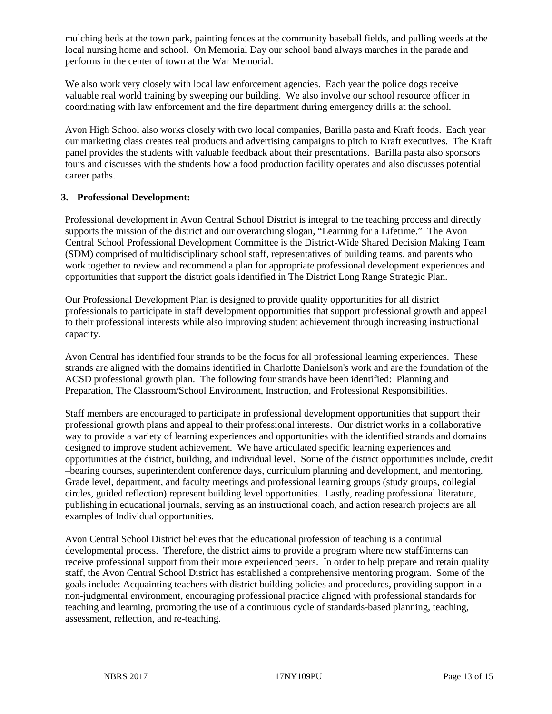mulching beds at the town park, painting fences at the community baseball fields, and pulling weeds at the local nursing home and school. On Memorial Day our school band always marches in the parade and performs in the center of town at the War Memorial.

We also work very closely with local law enforcement agencies. Each year the police dogs receive valuable real world training by sweeping our building. We also involve our school resource officer in coordinating with law enforcement and the fire department during emergency drills at the school.

Avon High School also works closely with two local companies, Barilla pasta and Kraft foods. Each year our marketing class creates real products and advertising campaigns to pitch to Kraft executives. The Kraft panel provides the students with valuable feedback about their presentations. Barilla pasta also sponsors tours and discusses with the students how a food production facility operates and also discusses potential career paths.

#### **3. Professional Development:**

Professional development in Avon Central School District is integral to the teaching process and directly supports the mission of the district and our overarching slogan, "Learning for a Lifetime." The Avon Central School Professional Development Committee is the District-Wide Shared Decision Making Team (SDM) comprised of multidisciplinary school staff, representatives of building teams, and parents who work together to review and recommend a plan for appropriate professional development experiences and opportunities that support the district goals identified in The District Long Range Strategic Plan.

Our Professional Development Plan is designed to provide quality opportunities for all district professionals to participate in staff development opportunities that support professional growth and appeal to their professional interests while also improving student achievement through increasing instructional capacity.

Avon Central has identified four strands to be the focus for all professional learning experiences. These strands are aligned with the domains identified in Charlotte Danielson's work and are the foundation of the ACSD professional growth plan. The following four strands have been identified: Planning and Preparation, The Classroom/School Environment, Instruction, and Professional Responsibilities.

Staff members are encouraged to participate in professional development opportunities that support their professional growth plans and appeal to their professional interests. Our district works in a collaborative way to provide a variety of learning experiences and opportunities with the identified strands and domains designed to improve student achievement. We have articulated specific learning experiences and opportunities at the district, building, and individual level. Some of the district opportunities include, credit –bearing courses, superintendent conference days, curriculum planning and development, and mentoring. Grade level, department, and faculty meetings and professional learning groups (study groups, collegial circles, guided reflection) represent building level opportunities. Lastly, reading professional literature, publishing in educational journals, serving as an instructional coach, and action research projects are all examples of Individual opportunities.

Avon Central School District believes that the educational profession of teaching is a continual developmental process. Therefore, the district aims to provide a program where new staff/interns can receive professional support from their more experienced peers. In order to help prepare and retain quality staff, the Avon Central School District has established a comprehensive mentoring program. Some of the goals include: Acquainting teachers with district building policies and procedures, providing support in a non-judgmental environment, encouraging professional practice aligned with professional standards for teaching and learning, promoting the use of a continuous cycle of standards-based planning, teaching, assessment, reflection, and re-teaching.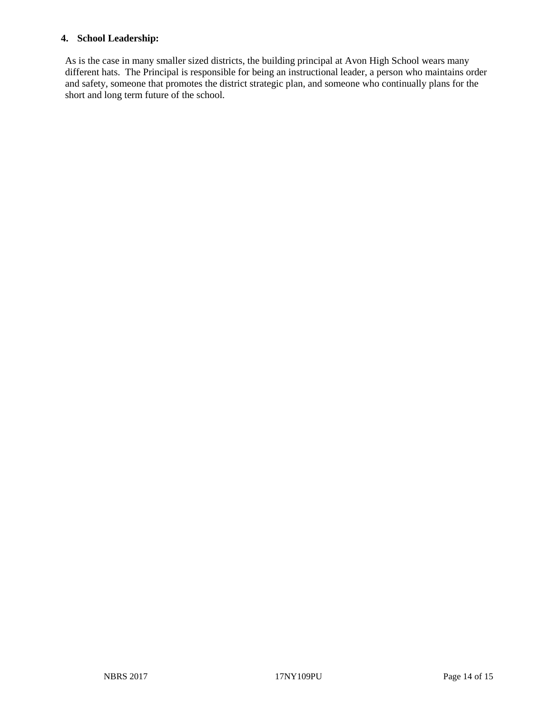#### **4. School Leadership:**

As is the case in many smaller sized districts, the building principal at Avon High School wears many different hats. The Principal is responsible for being an instructional leader, a person who maintains order and safety, someone that promotes the district strategic plan, and someone who continually plans for the short and long term future of the school.